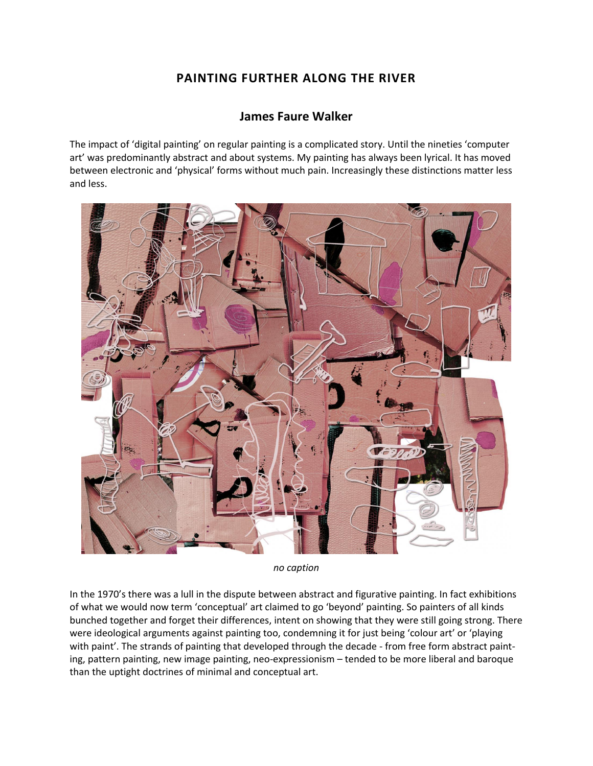## **PAINTING FURTHER ALONG THE RIVER**

## **James Faure Walker**

The impact of 'digital painting' on regular painting is a complicated story. Until the nineties 'computer art' was predominantly abstract and about systems. My painting has always been lyrical. It has moved between electronic and 'physical' forms without much pain. Increasingly these distinctions matter less and less.



*no caption*

In the 1970's there was a lull in the dispute between abstract and figurative painting. In fact exhibitions of what we would now term 'conceptual' art claimed to go 'beyond' painting. So painters of all kinds bunched together and forget their differences, intent on showing that they were still going strong. There were ideological arguments against painting too, condemning it for just being 'colour art' or 'playing with paint'. The strands of painting that developed through the decade - from free form abstract painting, pattern painting, new image painting, neo-expressionism – tended to be more liberal and baroque than the uptight doctrines of minimal and conceptual art.